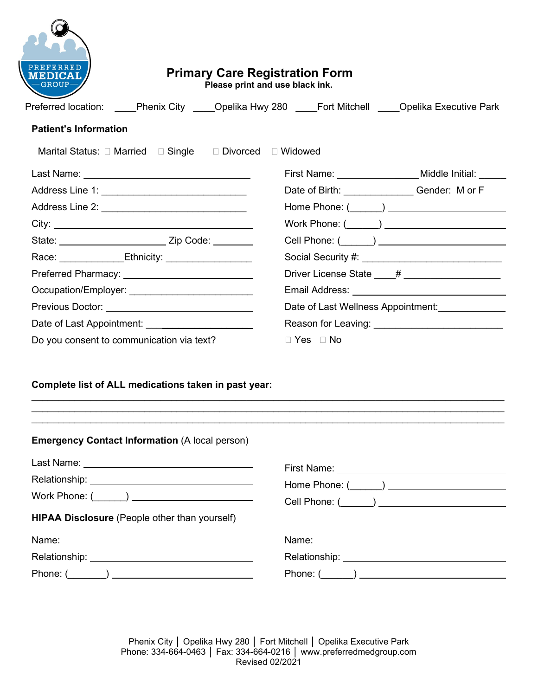|                                                                                                               | <b>Primary Care Registration Form</b><br>Please print and use black ink.                               |
|---------------------------------------------------------------------------------------------------------------|--------------------------------------------------------------------------------------------------------|
|                                                                                                               | Preferred location: Phenix City _____ Opelika Hwy 280 _____ Fort Mitchell _____ Opelika Executive Park |
| <b>Patient's Information</b>                                                                                  |                                                                                                        |
| Marital Status: □ Married □ Single □ Divorced □ Widowed                                                       |                                                                                                        |
|                                                                                                               | First Name: Middle Initial:                                                                            |
| Address Line 1: _____________________________                                                                 | Date of Birth: Gender: M or F                                                                          |
| Address Line 2: New York Changes 1 and 2014                                                                   |                                                                                                        |
|                                                                                                               | Work Phone: $(\_\_\_\_)$                                                                               |
|                                                                                                               |                                                                                                        |
|                                                                                                               |                                                                                                        |
|                                                                                                               | Driver License State ____# ___________________                                                         |
| Occupation/Employer: ____________________________                                                             |                                                                                                        |
| Previous Doctor: ________________________________                                                             | Date of Last Wellness Appointment:                                                                     |
| Date of Last Appointment: <u>______________________________</u>                                               |                                                                                                        |
| Do you consent to communication via text?                                                                     | $\Box$ Yes $\Box$ No                                                                                   |
| Complete list of ALL medications taken in past year:<br><b>Emergency Contact Information (A local person)</b> |                                                                                                        |
|                                                                                                               |                                                                                                        |
|                                                                                                               |                                                                                                        |
|                                                                                                               |                                                                                                        |

**HIPAA Disclosure** (People other than yourself)

| Name:         | Name:         |
|---------------|---------------|
| Relationship: | Relationship: |
| Phone:        | Phone:        |

Phenix City │ Opelika Hwy 280 │ Fort Mitchell │ Opelika Executive Park Phone: 334-664-0463 │ Fax: 334-664-0216 │ www.preferredmedgroup.com Revised 02/2021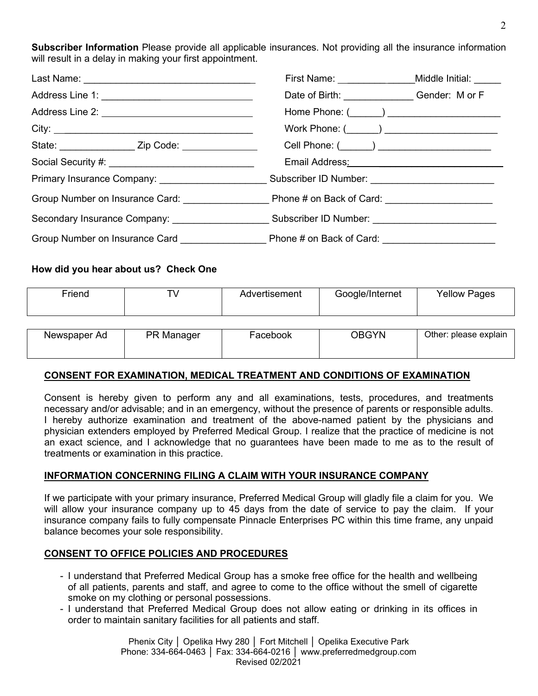**Subscriber Information** Please provide all applicable insurances. Not providing all the insurance information will result in a delay in making your first appointment.

|                                                                                                                                                                                                                                | First Name: _____________________Middle Initial: ______                                                       |  |  |
|--------------------------------------------------------------------------------------------------------------------------------------------------------------------------------------------------------------------------------|---------------------------------------------------------------------------------------------------------------|--|--|
|                                                                                                                                                                                                                                | Date of Birth: Gender: M or F                                                                                 |  |  |
|                                                                                                                                                                                                                                | Home Phone: (______) ________________________                                                                 |  |  |
| City:                                                                                                                                                                                                                          | Work Phone: (______) _______________________                                                                  |  |  |
|                                                                                                                                                                                                                                | Cell Phone: (______) _______________________                                                                  |  |  |
| Social Security #: \\\espices\\\espices\\\espices\\\espices\\\espices\\\espices\\\espices\\\espices\\espices\\espices\\espices\\espices\\espices\\espices\\espices\\espices\\espices\\espices\\espices\\espices\\espices\\espi |                                                                                                               |  |  |
| Primary Insurance Company: _______________________                                                                                                                                                                             | Subscriber ID Number: ___________________________                                                             |  |  |
|                                                                                                                                                                                                                                |                                                                                                               |  |  |
|                                                                                                                                                                                                                                | Secondary Insurance Company: ___________________________________Subscriber ID Number: _______________________ |  |  |
|                                                                                                                                                                                                                                |                                                                                                               |  |  |

## **How did you hear about us? Check One**

| Friend       | ⊤∖         | Advertisement | Google/Internet | <b>Yellow Pages</b>   |
|--------------|------------|---------------|-----------------|-----------------------|
|              |            |               |                 |                       |
| Newspaper Ad | PR Manager | Facebook      | <b>OBGYN</b>    | Other: please explain |

### **CONSENT FOR EXAMINATION, MEDICAL TREATMENT AND CONDITIONS OF EXAMINATION**

Consent is hereby given to perform any and all examinations, tests, procedures, and treatments necessary and/or advisable; and in an emergency, without the presence of parents or responsible adults. I hereby authorize examination and treatment of the above-named patient by the physicians and physician extenders employed by Preferred Medical Group. I realize that the practice of medicine is not an exact science, and I acknowledge that no guarantees have been made to me as to the result of treatments or examination in this practice.

### **INFORMATION CONCERNING FILING A CLAIM WITH YOUR INSURANCE COMPANY**

If we participate with your primary insurance, Preferred Medical Group will gladly file a claim for you. We will allow your insurance company up to 45 days from the date of service to pay the claim. If your insurance company fails to fully compensate Pinnacle Enterprises PC within this time frame, any unpaid balance becomes your sole responsibility.

### **CONSENT TO OFFICE POLICIES AND PROCEDURES**

- I understand that Preferred Medical Group has a smoke free office for the health and wellbeing of all patients, parents and staff, and agree to come to the office without the smell of cigarette smoke on my clothing or personal possessions.
- I understand that Preferred Medical Group does not allow eating or drinking in its offices in order to maintain sanitary facilities for all patients and staff.

Phenix City │ Opelika Hwy 280 │ Fort Mitchell │ Opelika Executive Park Phone: 334-664-0463 │ Fax: 334-664-0216 │ www.preferredmedgroup.com Revised 02/2021